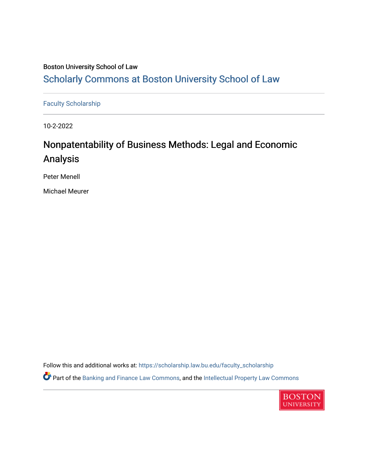## Boston University School of Law [Scholarly Commons at Boston University School of Law](https://scholarship.law.bu.edu/)

[Faculty Scholarship](https://scholarship.law.bu.edu/faculty_scholarship)

10-2-2022

# Nonpatentability of Business Methods: Legal and Economic Analysis

Peter Menell

Michael Meurer

Follow this and additional works at: [https://scholarship.law.bu.edu/faculty\\_scholarship](https://scholarship.law.bu.edu/faculty_scholarship?utm_source=scholarship.law.bu.edu%2Ffaculty_scholarship%2F1388&utm_medium=PDF&utm_campaign=PDFCoverPages) Part of the [Banking and Finance Law Commons,](http://network.bepress.com/hgg/discipline/833?utm_source=scholarship.law.bu.edu%2Ffaculty_scholarship%2F1388&utm_medium=PDF&utm_campaign=PDFCoverPages) and the [Intellectual Property Law Commons](http://network.bepress.com/hgg/discipline/896?utm_source=scholarship.law.bu.edu%2Ffaculty_scholarship%2F1388&utm_medium=PDF&utm_campaign=PDFCoverPages) 

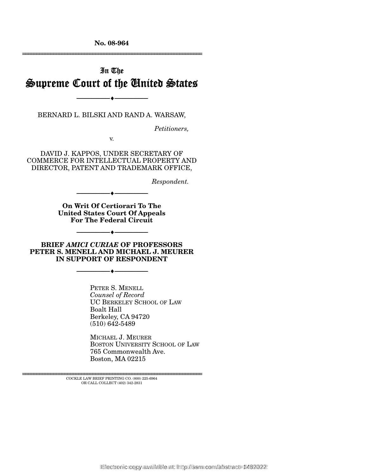**No. 08-964** 

## In The Supreme Court of the United States

--------------------------------- ♦ ---------------------------------

BERNARD L. BILSKI AND RAND A. WARSAW,

*Petitioners,* 

================================================================

v.

DAVID J. KAPPOS, UNDER SECRETARY OF COMMERCE FOR INTELLECTUAL PROPERTY AND DIRECTOR, PATENT AND TRADEMARK OFFICE,

*Respondent.* 

**On Writ Of Certiorari To The United States Court Of Appeals For The Federal Circuit** 

--------------------------------- ♦ ---------------------------------

**BRIEF** *AMICI CURIAE* **OF PROFESSORS PETER S. MENELL AND MICHAEL J. MEURER IN SUPPORT OF RESPONDENT** 

--------------------------------- ♦ ---------------------------------

--------------------------------- ♦ ---------------------------------

PETER S. MENELL *Counsel of Record*  UC BERKELEY SCHOOL OF LAW Boalt Hall Berkeley, CA 94720 (510) 642-5489

MICHAEL J. MEURER BOSTON UNIVERSITY SCHOOL OF LAW 765 Commonwealth Ave. Boston, MA 02215

================================================================ COCKLE LAW BRIEF PRINTING CO. (800) 225-6964 OR CALL COLLECT (402) 342-2831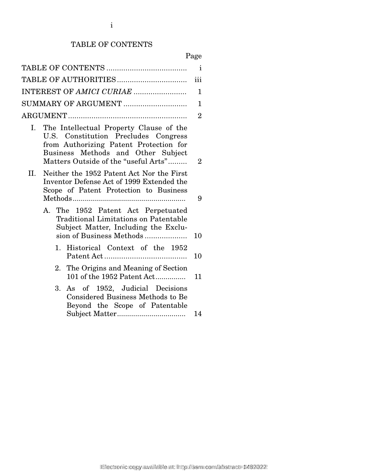#### TABLE OF CONTENTS

## Page

|                                                                                                                                                                                                               | $\mathbf{i}$   |
|---------------------------------------------------------------------------------------------------------------------------------------------------------------------------------------------------------------|----------------|
|                                                                                                                                                                                                               | iii            |
| INTEREST OF AMICI CURIAE                                                                                                                                                                                      | 1              |
| SUMMARY OF ARGUMENT                                                                                                                                                                                           | $\mathbf 1$    |
|                                                                                                                                                                                                               | $\overline{2}$ |
| The Intellectual Property Clause of the<br>Ι.<br>U.S. Constitution Precludes Congress<br>from Authorizing Patent Protection for<br>Business Methods and Other Subject<br>Matters Outside of the "useful Arts" | $\overline{2}$ |
| II.<br>Neither the 1952 Patent Act Nor the First<br>Inventor Defense Act of 1999 Extended the<br>Scope of Patent Protection to Business                                                                       | 9              |
| A. The 1952 Patent Act Perpetuated<br><b>Traditional Limitations on Patentable</b><br>Subject Matter, Including the Exclu-<br>sion of Business Methods                                                        | 10             |
| 1. Historical Context of the 1952                                                                                                                                                                             | 10             |
| 2. The Origins and Meaning of Section<br>101 of the 1952 Patent Act                                                                                                                                           | 11             |
| 3. As of 1952, Judicial Decisions<br><b>Considered Business Methods to Be</b><br>Beyond the Scope of Patentable                                                                                               | 14             |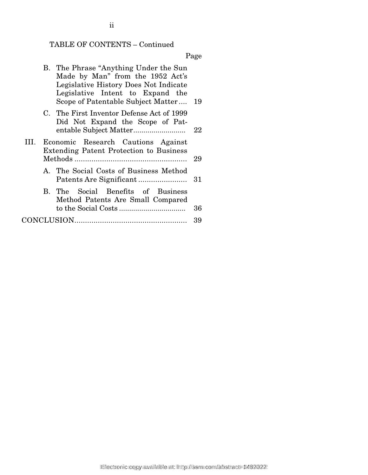### TABLE OF CONTENTS – Continued

Page

|              | B. The Phrase "Anything Under the Sun<br>Made by Man" from the 1952 Act's<br>Legislative History Does Not Indicate<br>Legislative Intent to Expand the<br>Scope of Patentable Subject Matter | -19 |
|--------------|----------------------------------------------------------------------------------------------------------------------------------------------------------------------------------------------|-----|
|              | C. The First Inventor Defense Act of 1999<br>Did Not Expand the Scope of Pat-                                                                                                                | 22  |
| $\mathbf{H}$ | Economic Research Cautions Against<br><b>Extending Patent Protection to Business</b>                                                                                                         | 29  |
|              | A. The Social Costs of Business Method                                                                                                                                                       | 31  |
|              | B. The Social Benefits of Business<br>Method Patents Are Small Compared                                                                                                                      | 36  |
|              |                                                                                                                                                                                              | 39  |

ii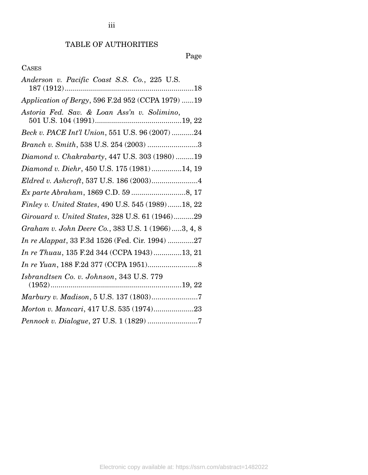#### TABLE OF AUTHORITIES

### Page

#### **CASES**

| Anderson v. Pacific Coast S.S. Co., 225 U.S.       |
|----------------------------------------------------|
| Application of Bergy, 596 F.2d 952 (CCPA 1979) 19  |
| Astoria Fed. Sav. & Loan Ass'n v. Solimino,        |
| Beck v. PACE Int'l Union, 551 U.S. 96 (2007) 24    |
| Branch v. Smith, 538 U.S. 254 (2003) 3             |
| Diamond v. Chakrabarty, 447 U.S. 303 (1980) 19     |
| Diamond v. Diehr, 450 U.S. 175 (1981) 14, 19       |
|                                                    |
|                                                    |
| Finley v. United States, 490 U.S. 545 (1989)18, 22 |
| Girouard v. United States, 328 U.S. 61 (1946)29    |
| Graham v. John Deere Co., 383 U.S. 1 (1966)3, 4, 8 |
| In re Alappat, 33 F.3d 1526 (Fed. Cir. 1994) 27    |
| In re Thuau, 135 F.2d 344 (CCPA 1943)13, 21        |
|                                                    |
| Isbrandtsen Co. v. Johnson, 343 U.S. 779           |
|                                                    |
| Morton v. Mancari, 417 U.S. 535 (1974)23           |
|                                                    |

iii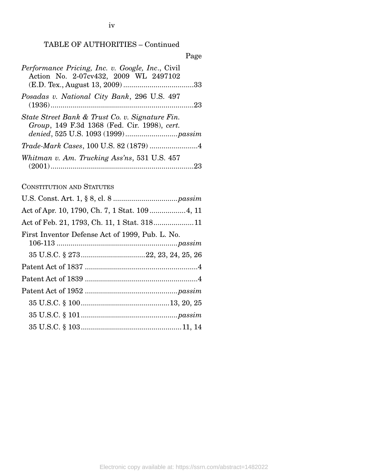iv

|                                                                                                 | rage |
|-------------------------------------------------------------------------------------------------|------|
| Performance Pricing, Inc. v. Google, Inc., Civil<br>Action No. 2-07cv432, 2009 WL 2497102       |      |
| Posadas v. National City Bank, 296 U.S. 497                                                     |      |
| State Street Bank & Trust Co. v. Signature Fin.<br>Group, 149 F.3d 1368 (Fed. Cir. 1998), cert. |      |
| Trade-Mark Cases, 100 U.S. 82 (1879) 4                                                          |      |
| Whitman v. Am. Trucking Ass'ns, 531 U.S. 457                                                    |      |
| <b>CONSTITUTION AND STATUTES</b>                                                                |      |
|                                                                                                 |      |
|                                                                                                 |      |
| Act of Feb. 21, 1793, Ch. 11, 1 Stat. 31811                                                     |      |
| First Inventor Defense Act of 1999, Pub. L. No.                                                 |      |
|                                                                                                 |      |
|                                                                                                 |      |
|                                                                                                 |      |
|                                                                                                 |      |
|                                                                                                 |      |
|                                                                                                 |      |
|                                                                                                 |      |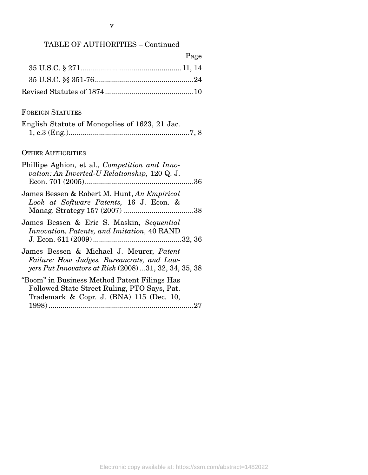| Page |
|------|
|      |
|      |
|      |

#### FOREIGN STATUTES

|  | English Statute of Monopolies of 1623, 21 Jac. |  |  |
|--|------------------------------------------------|--|--|
|  |                                                |  |  |

#### OTHER AUTHORITIES

| Phillipe Aghion, et al., Competition and Inno-<br>vation: An Inverted-U Relationship, 120 Q. J.                                                  |
|--------------------------------------------------------------------------------------------------------------------------------------------------|
| James Bessen & Robert M. Hunt, An Empirical<br>Look at Software Patents, 16 J. Econ. &                                                           |
| James Bessen & Eric S. Maskin, Sequential<br><i>Innovation, Patents, and Imitation, 40 RAND</i>                                                  |
| James Bessen & Michael J. Meurer, Patent<br>Failure: How Judges, Bureaucrats, and Law-<br>yers Put Innovators at Risk (2008)  31, 32, 34, 35, 38 |
| "Boom" in Business Method Patent Filings Has<br>Followed State Street Ruling, PTO Says, Pat.<br>Trademark & Copr. J. (BNA) 115 (Dec. 10,         |
| 27                                                                                                                                               |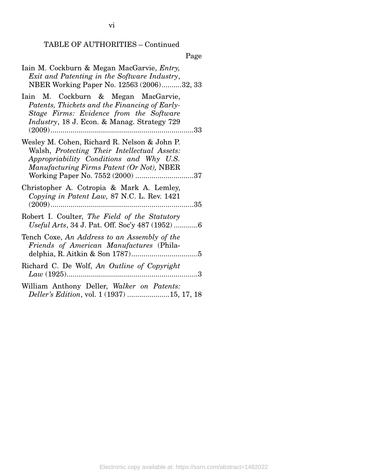### Page

| Iain M. Cockburn & Megan MacGarvie, <i>Entry</i> ,<br>Exit and Patenting in the Software Industry,<br>NBER Working Paper No. 12563 (2006)32, 33                                                                          |
|--------------------------------------------------------------------------------------------------------------------------------------------------------------------------------------------------------------------------|
| Iain M. Cockburn & Megan MacGarvie,<br>Patents, Thickets and the Financing of Early-<br>Stage Firms: Evidence from the Software<br><i>Industry</i> , 18 J. Econ. & Manag. Strategy 729<br>33                             |
| Wesley M. Cohen, Richard R. Nelson & John P.<br>Walsh, Protecting Their Intellectual Assets:<br>Appropriability Conditions and Why U.S.<br>Manufacturing Firms Patent (Or Not), NBER<br>Working Paper No. 7552 (2000) 37 |
| Christopher A. Cotropia & Mark A. Lemley,<br>Copying in Patent Law, 87 N.C. L. Rev. 1421                                                                                                                                 |
| Robert I. Coulter, The Field of the Statutory<br>Useful Arts, 34 J. Pat. Off. Soc'y 487 (1952) 6                                                                                                                         |
| Tench Coxe, An Address to an Assembly of the<br>Friends of American Manufactures (Phila-                                                                                                                                 |
| Richard C. De Wolf, An Outline of Copyright                                                                                                                                                                              |
| William Anthony Deller, Walker on Patents:<br>Deller's Edition, vol. 1 (1937) 15, 17, 18                                                                                                                                 |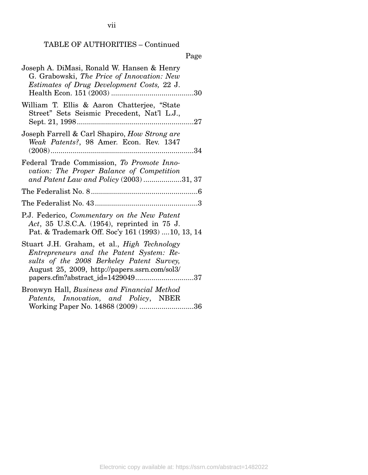vii

#### TABLE OF AUTHORITIES – Continued

#### Page

| Joseph A. DiMasi, Ronald W. Hansen & Henry<br>G. Grabowski, The Price of Innovation: New<br><i>Estimates of Drug Development Costs, 22 J.</i>                                                                                    |
|----------------------------------------------------------------------------------------------------------------------------------------------------------------------------------------------------------------------------------|
| William T. Ellis & Aaron Chatterjee, "State<br>Street" Sets Seismic Precedent, Nat'l L.J.,                                                                                                                                       |
| Joseph Farrell & Carl Shapiro, How Strong are<br>Weak Patents?, 98 Amer. Econ. Rev. 1347                                                                                                                                         |
| Federal Trade Commission, To Promote Inno-<br>vation: The Proper Balance of Competition<br>and Patent Law and Policy (2003) 31, 37                                                                                               |
|                                                                                                                                                                                                                                  |
|                                                                                                                                                                                                                                  |
| P.J. Federico, Commentary on the New Patent<br>Act, 35 U.S.C.A. (1954), reprinted in 75 J.<br>Pat. & Trademark Off. Soc'y 161 (1993)  10, 13, 14                                                                                 |
| Stuart J.H. Graham, et al., <i>High Technology</i><br>Entrepreneurs and the Patent System: Re-<br>sults of the 2008 Berkeley Patent Survey,<br>August 25, 2009, http://papers.ssrn.com/sol3/<br>papers.cfm?abstract_id=142904937 |
| Bronwyn Hall, Business and Financial Method                                                                                                                                                                                      |
| Patents, Innovation, and Policy, NBER<br>Working Paper No. 14868 (2009) 36                                                                                                                                                       |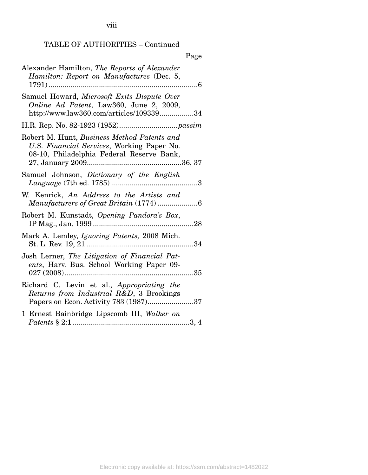viii

#### TABLE OF AUTHORITIES – Continued

|                                                                                                                                        | Page         |
|----------------------------------------------------------------------------------------------------------------------------------------|--------------|
| Alexander Hamilton, The Reports of Alexander<br>Hamilton: Report on Manufactures (Dec. 5,<br>$1791)$<br>. 6                            |              |
| Samuel Howard, Microsoft Exits Dispute Over<br>Online Ad Patent, Law360, June 2, 2009,<br>http://www.law360.com/articles/10933934      |              |
|                                                                                                                                        |              |
| Robert M. Hunt, Business Method Patents and<br>U.S. Financial Services, Working Paper No.<br>08-10, Philadelphia Federal Reserve Bank, |              |
| Samuel Johnson, <i>Dictionary</i> of the English                                                                                       |              |
| W. Kenrick, An Address to the Artists and<br>Manufacturers of Great Britain (1774)6                                                    |              |
| Robert M. Kunstadt, Opening Pandora's Box,                                                                                             | 28           |
| Mark A. Lemley, <i>Ignoring Patents</i> , 2008 Mich.                                                                                   |              |
| Josh Lerner, The Litigation of Financial Pat-<br>ents, Harv. Bus. School Working Paper 09-                                             |              |
| Richard C. Levin et al., Appropriating the<br>Returns from Industrial R&D, 3 Brookings<br>Papers on Econ. Activity 783 (1987)37        |              |
| 1 Ernest Bainbridge Lipscomb III, Walker on                                                                                            | $\dots 3, 4$ |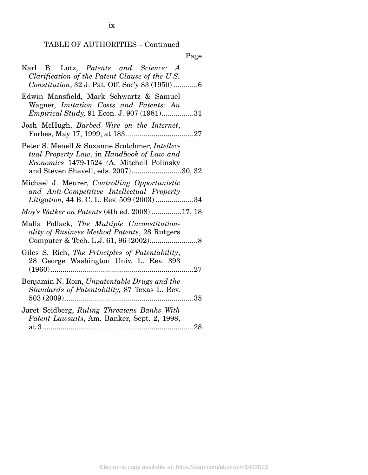ix

### Page

| Karl B. Lutz, Patents and Science: A<br>Clarification of the Patent Clause of the U.S.<br>Constitution, 32 J. Pat. Off. Soc'y 83 (1950) 6                                        |
|----------------------------------------------------------------------------------------------------------------------------------------------------------------------------------|
| Edwin Mansfield, Mark Schwartz & Samuel<br>Wagner, Imitation Costs and Patents: An<br><i>Empirical Study</i> , 91 Econ. J. 907 (1981)31                                          |
| Josh McHugh, Barbed Wire on the Internet,                                                                                                                                        |
| Peter S. Menell & Suzanne Scotchmer, Intellec-<br>tual Property Law, in Handbook of Law and<br>Economics 1479-1524 (A. Mitchell Polinsky<br>and Steven Shavell, eds. 2007)30, 32 |
| Michael J. Meurer, Controlling Opportunistic<br>and Anti-Competitive Intellectual Property<br>Litigation, 44 B. C. L. Rev. 509 (2003) 34                                         |
| <i>Moy's Walker on Patents</i> (4th ed. 2008) 17, 18                                                                                                                             |
| Malla Pollack, The Multiple Unconstitution-<br>ality of Business Method Patents, 28 Rutgers                                                                                      |
| Giles S. Rich, The Principles of Patentability,<br>28 George Washington Univ. L. Rev. 393                                                                                        |
| Benjamin N. Roin, Unpatentable Drugs and the<br>Standards of Patentability, 87 Texas L. Rev.                                                                                     |
| Jaret Seidberg, Ruling Threatens Banks With<br>Patent Lawsuits, Am. Banker, Sept. 2, 1998,                                                                                       |
|                                                                                                                                                                                  |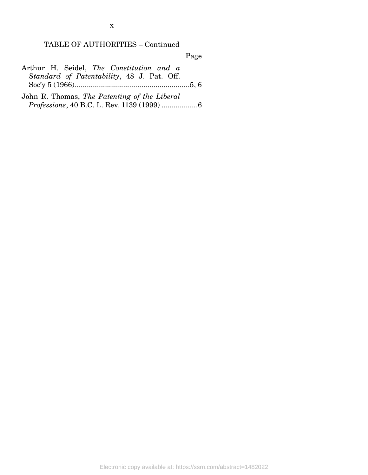x

#### TABLE OF AUTHORITIES – Continued

Page

| Arthur H. Seidel, The Constitution and a |                                            |  |  |  |  |
|------------------------------------------|--------------------------------------------|--|--|--|--|
|                                          | Standard of Patentability, 48 J. Pat. Off. |  |  |  |  |
|                                          |                                            |  |  |  |  |

John R. Thomas, *The Patenting of the Liberal Professions*, 40 B.C. L. Rev. 1139 (1999) .................. 6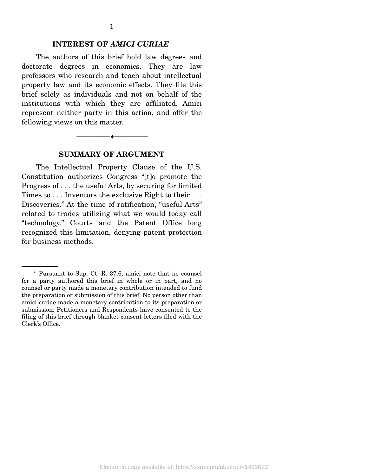#### **INTEREST OF** *AMICI CURIAE*<sup>1</sup>

 The authors of this brief hold law degrees and doctorate degrees in economics. They are law professors who research and teach about intellectual property law and its economic effects. They file this brief solely as individuals and not on behalf of the institutions with which they are affiliated. Amici represent neither party in this action, and offer the following views on this matter.



#### **SUMMARY OF ARGUMENT**

 The Intellectual Property Clause of the U.S. Constitution authorizes Congress "[t]o promote the Progress of . . . the useful Arts, by securing for limited Times to . . . Inventors the exclusive Right to their . . . Discoveries." At the time of ratification, "useful Arts" related to trades utilizing what we would today call "technology." Courts and the Patent Office long recognized this limitation, denying patent protection for business methods.

<sup>1</sup> Pursuant to Sup. Ct. R. 37.6, amici note that no counsel for a party authored this brief in whole or in part, and no counsel or party made a monetary contribution intended to fund the preparation or submission of this brief. No person other than amici curiae made a monetary contribution to its preparation or submission. Petitioners and Respondents have consented to the filing of this brief through blanket consent letters filed with the Clerk's Office.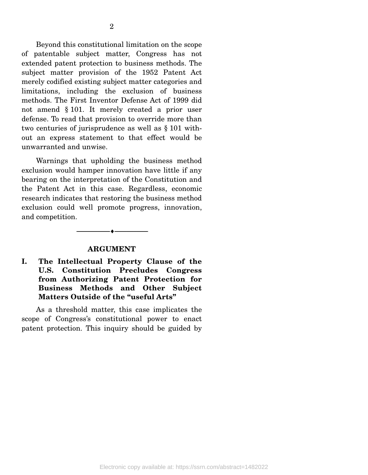Beyond this constitutional limitation on the scope of patentable subject matter, Congress has not extended patent protection to business methods. The subject matter provision of the 1952 Patent Act merely codified existing subject matter categories and limitations, including the exclusion of business methods. The First Inventor Defense Act of 1999 did not amend § 101. It merely created a prior user defense. To read that provision to override more than two centuries of jurisprudence as well as § 101 without an express statement to that effect would be unwarranted and unwise.

 Warnings that upholding the business method exclusion would hamper innovation have little if any bearing on the interpretation of the Constitution and the Patent Act in this case. Regardless, economic research indicates that restoring the business method exclusion could well promote progress, innovation, and competition.

#### **ARGUMENT**

--------------------------------- ♦ ---------------------------------

#### **I. The Intellectual Property Clause of the U.S. Constitution Precludes Congress from Authorizing Patent Protection for Business Methods and Other Subject Matters Outside of the "useful Arts"**

 As a threshold matter, this case implicates the scope of Congress's constitutional power to enact patent protection. This inquiry should be guided by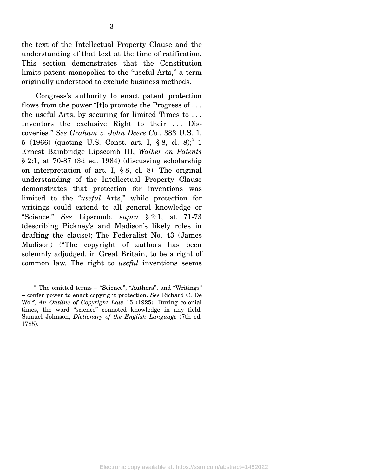the text of the Intellectual Property Clause and the understanding of that text at the time of ratification. This section demonstrates that the Constitution limits patent monopolies to the "useful Arts," a term originally understood to exclude business methods.

 Congress's authority to enact patent protection flows from the power "[t]o promote the Progress of . . . the useful Arts, by securing for limited Times to . . . Inventors the exclusive Right to their ... Discoveries." *See Graham v. John Deere Co.*, 383 U.S. 1, 5 (1966) (quoting U.S. Const. art. I,  $\S 8$ , cl.  $8$ );<sup>2</sup> 1 Ernest Bainbridge Lipscomb III, *Walker on Patents* § 2:1, at 70-87 (3d ed. 1984) (discussing scholarship on interpretation of art. I,  $\S 8$ , cl. 8). The original understanding of the Intellectual Property Clause demonstrates that protection for inventions was limited to the "*useful* Arts," while protection for writings could extend to all general knowledge or "Science." *See* Lipscomb, *supra* § 2:1, at 71-73 (describing Pickney's and Madison's likely roles in drafting the clause); The Federalist No. 43 (James Madison) ("The copyright of authors has been solemnly adjudged, in Great Britain, to be a right of common law. The right to *useful* inventions seems

<sup>&</sup>lt;sup>2</sup> The omitted terms – "Science", "Authors", and "Writings" – confer power to enact copyright protection. *See* Richard C. De Wolf, *An Outline of Copyright Law* 15 (1925). During colonial times, the word "science" connoted knowledge in any field. Samuel Johnson, *Dictionary of the English Language* (7th ed. 1785).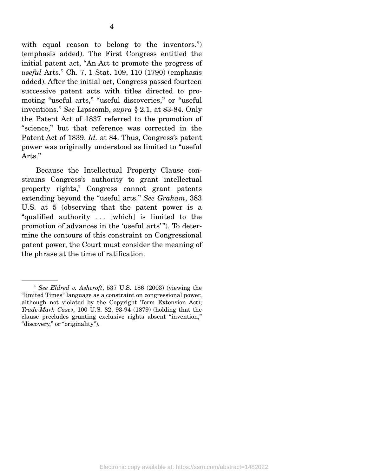with equal reason to belong to the inventors.") (emphasis added). The First Congress entitled the initial patent act, "An Act to promote the progress of *useful* Arts." Ch. 7, 1 Stat. 109, 110 (1790) (emphasis added). After the initial act, Congress passed fourteen successive patent acts with titles directed to promoting "useful arts," "useful discoveries," or "useful inventions." *See* Lipscomb, *supra* § 2.1, at 83-84. Only the Patent Act of 1837 referred to the promotion of "science," but that reference was corrected in the Patent Act of 1839. *Id.* at 84. Thus, Congress's patent power was originally understood as limited to "useful Arts."

 Because the Intellectual Property Clause constrains Congress's authority to grant intellectual property rights,<sup>3</sup> Congress cannot grant patents extending beyond the "useful arts." *See Graham*, 383 U.S. at 5 (observing that the patent power is a "qualified authority . . . [which] is limited to the promotion of advances in the 'useful arts' "). To determine the contours of this constraint on Congressional patent power, the Court must consider the meaning of the phrase at the time of ratification.

<sup>3</sup>  *See Eldred v. Ashcroft*, 537 U.S. 186 (2003) (viewing the "limited Times" language as a constraint on congressional power, although not violated by the Copyright Term Extension Act); *Trade-Mark Cases*, 100 U.S. 82, 93-94 (1879) (holding that the clause precludes granting exclusive rights absent "invention," "discovery," or "originality").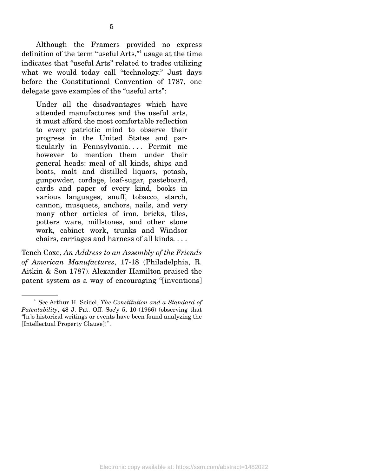Under all the disadvantages which have attended manufactures and the useful arts, it must afford the most comfortable reflection to every patriotic mind to observe their progress in the United States and particularly in Pennsylvania. . . . Permit me however to mention them under their general heads: meal of all kinds, ships and boats, malt and distilled liquors, potash, gunpowder, cordage, loaf-sugar, pasteboard, cards and paper of every kind, books in various languages, snuff, tobacco, starch, cannon, musquets, anchors, nails, and very many other articles of iron, bricks, tiles, potters ware, millstones, and other stone work, cabinet work, trunks and Windsor chairs, carriages and harness of all kinds. . . .

Tench Coxe, *An Address to an Assembly of the Friends of American Manufactures*, 17-18 (Philadelphia, R. Aitkin & Son 1787). Alexander Hamilton praised the patent system as a way of encouraging "[inventions]

<sup>4</sup>  *See* Arthur H. Seidel, *The Constitution and a Standard of Patentability*, 48 J. Pat. Off. Soc'y 5, 10 (1966) (observing that "[n]o historical writings or events have been found analyzing the [Intellectual Property Clause])".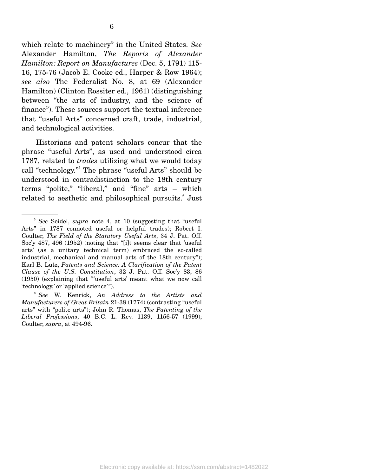which relate to machinery" in the United States. *See* Alexander Hamilton, *The Reports of Alexander Hamilton: Report on Manufactures* (Dec. 5, 1791) 115- 16, 175-76 (Jacob E. Cooke ed., Harper & Row 1964); *see also* The Federalist No. 8, at 69 (Alexander Hamilton) (Clinton Rossiter ed., 1961) (distinguishing between "the arts of industry, and the science of finance"). These sources support the textual inference that "useful Arts" concerned craft, trade, industrial, and technological activities.

 Historians and patent scholars concur that the phrase "useful Arts", as used and understood circa 1787, related to *trades* utilizing what we would today call "technology."<sup>5</sup> The phrase "useful Arts" should be understood in contradistinction to the 18th century terms "polite," "liberal," and "fine" arts – which related to aesthetic and philosophical pursuits.<sup>6</sup> Just

<sup>&</sup>lt;sup>5</sup> See Seidel, *supra* note 4, at 10 (suggesting that "useful Arts" in 1787 connoted useful or helpful trades); Robert I. Coulter, *The Field of the Statutory Useful Arts*, 34 J. Pat. Off. Soc'y 487, 496 (1952) (noting that "[i]t seems clear that 'useful arts' (as a unitary technical term) embraced the so-called industrial, mechanical and manual arts of the 18th century"); Karl B. Lutz, *Patents and Science: A Clarification of the Patent Clause of the U.S. Constitution*, 32 J. Pat. Off. Soc'y 83, 86 (1950) (explaining that "'useful arts' meant what we now call 'technology,' or 'applied science'").

<sup>6</sup>  *See* W. Kenrick, *An Address to the Artists and Manufacturers of Great Britain* 21-38 (1774) (contrasting "useful arts" with "polite arts"); John R. Thomas, *The Patenting of the Liberal Professions*, 40 B.C. L. Rev. 1139, 1156-57 (1999); Coulter, *supra*, at 494-96.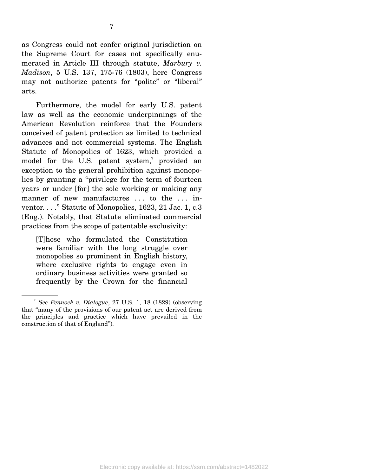Furthermore, the model for early U.S. patent law as well as the economic underpinnings of the American Revolution reinforce that the Founders conceived of patent protection as limited to technical advances and not commercial systems. The English Statute of Monopolies of 1623, which provided a model for the U.S. patent system,<sup>7</sup> provided an exception to the general prohibition against monopolies by granting a "privilege for the term of fourteen years or under [for] the sole working or making any manner of new manufactures ... to the ... inventor. . . ." Statute of Monopolies, 1623, 21 Jac. 1, c.3 (Eng.). Notably, that Statute eliminated commercial practices from the scope of patentable exclusivity:

[T]hose who formulated the Constitution were familiar with the long struggle over monopolies so prominent in English history, where exclusive rights to engage even in ordinary business activities were granted so frequently by the Crown for the financial

<sup>7</sup>  *See Pennock v. Dialogue*, 27 U.S. 1, 18 (1829) (observing that "many of the provisions of our patent act are derived from the principles and practice which have prevailed in the construction of that of England").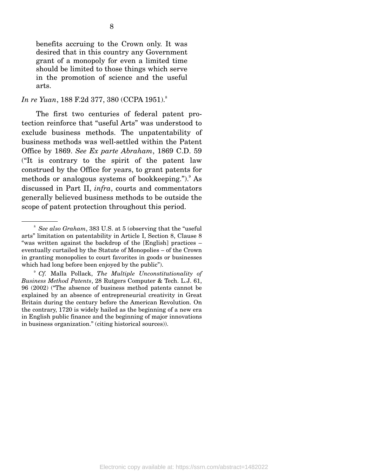benefits accruing to the Crown only. It was desired that in this country any Government grant of a monopoly for even a limited time should be limited to those things which serve in the promotion of science and the useful arts.

#### *In re Yuan, 188 F.2d 377, 380 (CCPA 1951).*<sup>8</sup>

 The first two centuries of federal patent protection reinforce that "useful Arts" was understood to exclude business methods. The unpatentability of business methods was well-settled within the Patent Office by 1869. *See Ex parte Abraham*, 1869 C.D. 59 ("It is contrary to the spirit of the patent law construed by the Office for years, to grant patents for methods or analogous systems of bookkeeping."). As discussed in Part II, *infra*, courts and commentators generally believed business methods to be outside the scope of patent protection throughout this period.

<sup>8</sup>  *See also Graham*, 383 U.S. at 5 (observing that the "useful arts" limitation on patentability in Article I, Section 8, Clause 8 "was written against the backdrop of the [English] practices – eventually curtailed by the Statute of Monopolies – of the Crown in granting monopolies to court favorites in goods or businesses which had long before been enjoyed by the public").

<sup>9</sup>  *Cf.* Malla Pollack, *The Multiple Unconstitutionality of Business Method Patents*, 28 Rutgers Computer & Tech. L.J. 61, 96 (2002) ("The absence of business method patents cannot be explained by an absence of entrepreneurial creativity in Great Britain during the century before the American Revolution. On the contrary, 1720 is widely hailed as the beginning of a new era in English public finance and the beginning of major innovations in business organization." (citing historical sources)).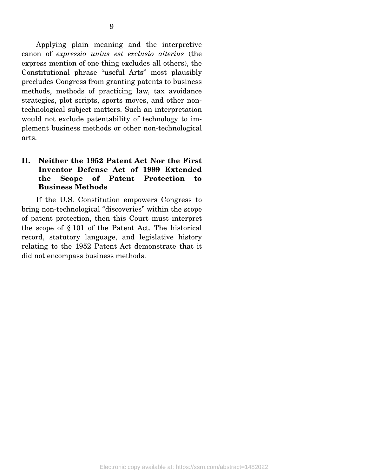Applying plain meaning and the interpretive canon of *expressio unius est exclusio alterius* (the express mention of one thing excludes all others), the Constitutional phrase "useful Arts" most plausibly precludes Congress from granting patents to business methods, methods of practicing law, tax avoidance strategies, plot scripts, sports moves, and other nontechnological subject matters. Such an interpretation would not exclude patentability of technology to implement business methods or other non-technological arts.

#### **II. Neither the 1952 Patent Act Nor the First Inventor Defense Act of 1999 Extended the Scope of Patent Protection to Business Methods**

 If the U.S. Constitution empowers Congress to bring non-technological "discoveries" within the scope of patent protection, then this Court must interpret the scope of § 101 of the Patent Act. The historical record, statutory language, and legislative history relating to the 1952 Patent Act demonstrate that it did not encompass business methods.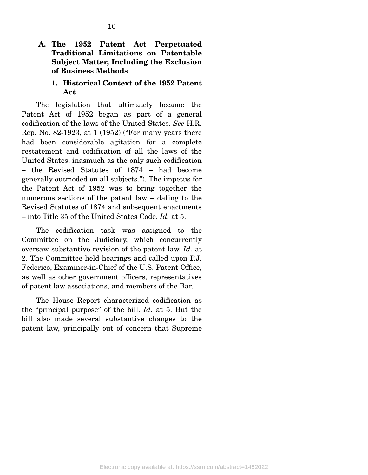#### **A. The 1952 Patent Act Perpetuated Traditional Limitations on Patentable Subject Matter, Including the Exclusion of Business Methods**

#### **1. Historical Context of the 1952 Patent Act**

 The legislation that ultimately became the Patent Act of 1952 began as part of a general codification of the laws of the United States. *See* H.R. Rep. No. 82-1923, at 1 (1952) ("For many years there had been considerable agitation for a complete restatement and codification of all the laws of the United States, inasmuch as the only such codification – the Revised Statutes of 1874 – had become generally outmoded on all subjects."). The impetus for the Patent Act of 1952 was to bring together the numerous sections of the patent law – dating to the Revised Statutes of 1874 and subsequent enactments – into Title 35 of the United States Code. *Id.* at 5.

 The codification task was assigned to the Committee on the Judiciary, which concurrently oversaw substantive revision of the patent law. *Id.* at 2. The Committee held hearings and called upon P.J. Federico, Examiner-in-Chief of the U.S. Patent Office, as well as other government officers, representatives of patent law associations, and members of the Bar.

 The House Report characterized codification as the "principal purpose" of the bill. *Id.* at 5. But the bill also made several substantive changes to the patent law, principally out of concern that Supreme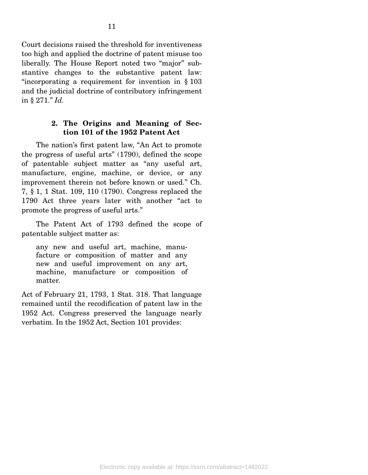Court decisions raised the threshold for inventiveness too high and applied the doctrine of patent misuse too liberally. The House Report noted two "major" substantive changes to the substantive patent law: "incorporating a requirement for invention in § 103 and the judicial doctrine of contributory infringement in § 271." *Id.*

#### **2. The Origins and Meaning of Section 101 of the 1952 Patent Act**

 The nation's first patent law, "An Act to promote the progress of useful arts" (1790), defined the scope of patentable subject matter as "any useful art, manufacture, engine, machine, or device, or any improvement therein not before known or used." Ch. 7, § 1, 1 Stat. 109, 110 (1790). Congress replaced the 1790 Act three years later with another "act to promote the progress of useful arts."

 The Patent Act of 1793 defined the scope of patentable subject matter as:

any new and useful art, machine, manufacture or composition of matter and any new and useful improvement on any art, machine, manufacture or composition of matter.

Act of February 21, 1793, 1 Stat. 318. That language remained until the recodification of patent law in the 1952 Act. Congress preserved the language nearly verbatim. In the 1952 Act, Section 101 provides: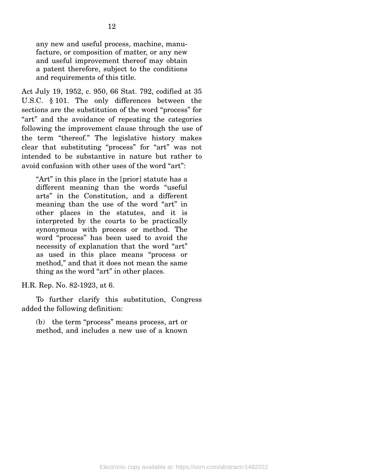any new and useful process, machine, manufacture, or composition of matter, or any new and useful improvement thereof may obtain a patent therefore, subject to the conditions and requirements of this title.

Act July 19, 1952, c. 950, 66 Stat. 792, codified at 35 U.S.C. § 101. The only differences between the sections are the substitution of the word "process" for "art" and the avoidance of repeating the categories following the improvement clause through the use of the term "thereof." The legislative history makes clear that substituting "process" for "art" was not intended to be substantive in nature but rather to avoid confusion with other uses of the word "art":

"Art" in this place in the [prior] statute has a different meaning than the words "useful arts" in the Constitution, and a different meaning than the use of the word "art" in other places in the statutes, and it is interpreted by the courts to be practically synonymous with process or method. The word "process" has been used to avoid the necessity of explanation that the word "art" as used in this place means "process or method," and that it does not mean the same thing as the word "art" in other places.

H.R. Rep. No. 82-1923, at 6.

 To further clarify this substitution, Congress added the following definition:

(b) the term "process" means process, art or method, and includes a new use of a known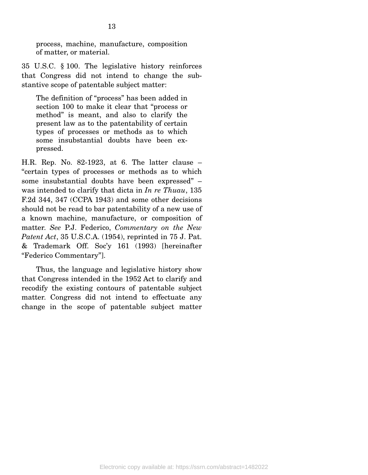process, machine, manufacture, composition of matter, or material.

35 U.S.C. § 100. The legislative history reinforces that Congress did not intend to change the substantive scope of patentable subject matter:

The definition of "process" has been added in section 100 to make it clear that "process or method" is meant, and also to clarify the present law as to the patentability of certain types of processes or methods as to which some insubstantial doubts have been expressed.

H.R. Rep. No. 82-1923, at 6. The latter clause – "certain types of processes or methods as to which some insubstantial doubts have been expressed" – was intended to clarify that dicta in *In re Thuau*, 135 F.2d 344, 347 (CCPA 1943) and some other decisions should not be read to bar patentability of a new use of a known machine, manufacture, or composition of matter. *See* P.J. Federico, *Commentary on the New Patent Act*, 35 U.S.C.A. (1954), reprinted in 75 J. Pat. & Trademark Off. Soc'y 161 (1993) [hereinafter "Federico Commentary"].

 Thus, the language and legislative history show that Congress intended in the 1952 Act to clarify and recodify the existing contours of patentable subject matter. Congress did not intend to effectuate any change in the scope of patentable subject matter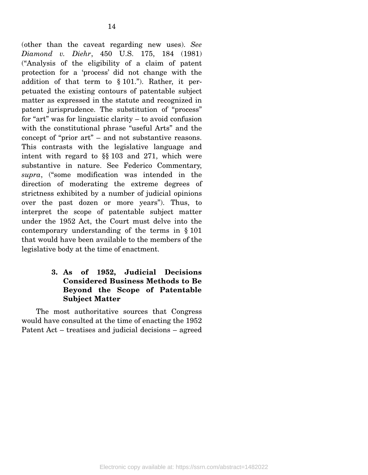(other than the caveat regarding new uses). *See Diamond v. Diehr*, 450 U.S. 175, 184 (1981) ("Analysis of the eligibility of a claim of patent protection for a 'process' did not change with the addition of that term to § 101."). Rather, it perpetuated the existing contours of patentable subject matter as expressed in the statute and recognized in patent jurisprudence. The substitution of "process" for "art" was for linguistic clarity – to avoid confusion with the constitutional phrase "useful Arts" and the concept of "prior art" – and not substantive reasons. This contrasts with the legislative language and intent with regard to §§ 103 and 271, which were substantive in nature. See Federico Commentary, *supra*, ("some modification was intended in the direction of moderating the extreme degrees of strictness exhibited by a number of judicial opinions over the past dozen or more years"). Thus, to interpret the scope of patentable subject matter under the 1952 Act, the Court must delve into the contemporary understanding of the terms in § 101 that would have been available to the members of the legislative body at the time of enactment.

#### **3. As of 1952, Judicial Decisions Considered Business Methods to Be Beyond the Scope of Patentable Subject Matter**

 The most authoritative sources that Congress would have consulted at the time of enacting the 1952 Patent Act – treatises and judicial decisions – agreed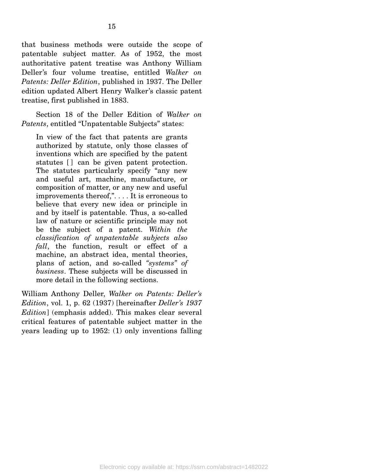that business methods were outside the scope of patentable subject matter. As of 1952, the most authoritative patent treatise was Anthony William Deller's four volume treatise, entitled *Walker on Patents: Deller Edition*, published in 1937. The Deller edition updated Albert Henry Walker's classic patent treatise, first published in 1883.

 Section 18 of the Deller Edition of *Walker on Patents*, entitled "Unpatentable Subjects" states:

In view of the fact that patents are grants authorized by statute, only those classes of inventions which are specified by the patent statutes  $\Box$  can be given patent protection. The statutes particularly specify "any new and useful art, machine, manufacture, or composition of matter, or any new and useful improvements thereof,". . . . It is erroneous to believe that every new idea or principle in and by itself is patentable. Thus, a so-called law of nature or scientific principle may not be the subject of a patent. *Within the classification of unpatentable subjects also fall*, the function, result or effect of a machine, an abstract idea, mental theories, plans of action, and so-called *"systems" of business*. These subjects will be discussed in more detail in the following sections.

William Anthony Deller, *Walker on Patents: Deller's Edition*, vol. 1, p. 62 (1937) [hereinafter *Deller's 1937 Edition*] (emphasis added). This makes clear several critical features of patentable subject matter in the years leading up to 1952: (1) only inventions falling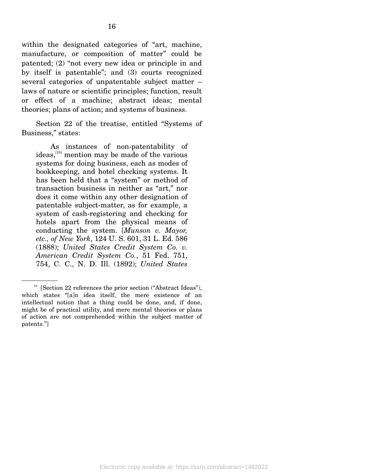within the designated categories of "art, machine, manufacture, or composition of matter" could be patented; (2) "not every new idea or principle in and by itself is patentable"; and (3) courts recognized several categories of unpatentable subject matter – laws of nature or scientific principles; function, result or effect of a machine; abstract ideas; mental theories; plans of action; and systems of business.

 Section 22 of the treatise, entitled "Systems of Business," states:

 As instances of non-patentability of ideas,<sup>[10]</sup> mention may be made of the various systems for doing business, each as modes of bookkeeping, and hotel checking systems. It has been held that a "system" or method of transaction business in neither as "art," nor does it come within any other designation of patentable subject-matter, as for example, a system of cash-registering and checking for hotels apart from the physical means of conducting the system. [*Munson v. Mayor, etc., of New York*, 124 U. S. 601, 31 L. Ed. 586 (1888); *United States Credit System Co. v. American Credit System Co.*, 51 Fed. 751, 754, C. C., N. D. Ill. (1892); *United States* 

<sup>&</sup>lt;sup>10</sup> [Section 22 references the prior section ("Abstract Ideas"), which states "[a]n idea itself, the mere existence of an intellectual notion that a thing could be done, and, if done, might be of practical utility, and mere mental theories or plans of action are not comprehended within the subject matter of patents."]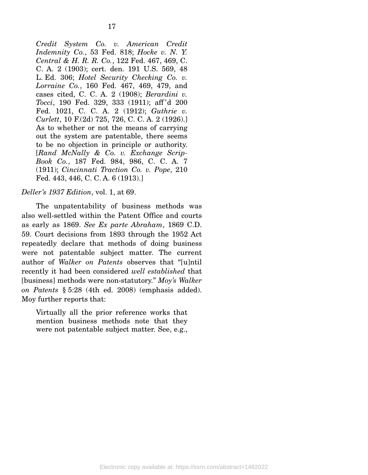*Credit System Co. v. American Credit Indemnity Co.*, 53 Fed. 818; *Hocke v. N. Y. Central & H. R. R. Co.*, 122 Fed. 467, 469, C. C. A. 2 (1903); cert. den. 191 U.S. 569, 48 L. Ed. 306; *Hotel Security Checking Co. v. Lorraine Co.*, 160 Fed. 467, 469, 479, and cases cited, C. C. A. 2 (1908); *Berardini v. Tocci*, 190 Fed. 329, 333 (1911); aff 'd 200 Fed. 1021, C. C. A. 2 (1912); *Guthrie v. Curlett*, 10 F.(2d) 725, 726, C. C. A. 2 (1926).] As to whether or not the means of carrying out the system are patentable, there seems to be no objection in principle or authority. [*Rand McNally & Co. v. Exchange Scrip-Book Co.*, 187 Fed. 984, 986, C. C. A. 7 (1911); *Cincinnati Traction Co. v. Pope*, 210 Fed. 443, 446, C. C. A. 6 (1913).]

#### *Deller's 1937 Edition*, vol. 1, at 69.

 The unpatentability of business methods was also well-settled within the Patent Office and courts as early as 1869. *See Ex parte Abraham*, 1869 C.D. 59. Court decisions from 1893 through the 1952 Act repeatedly declare that methods of doing business were not patentable subject matter. The current author of *Walker on Patents* observes that "[u]ntil recently it had been considered *well established* that [business] methods were non-statutory." *Moy's Walker on Patents* § 5:28 (4th ed. 2008) (emphasis added). Moy further reports that:

Virtually all the prior reference works that mention business methods note that they were not patentable subject matter. See, e.g.,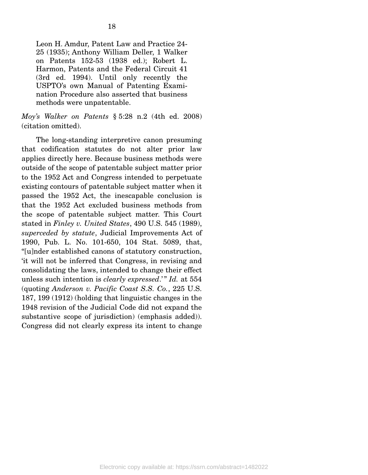Leon H. Amdur, Patent Law and Practice 24- 25 (1935); Anthony William Deller, 1 Walker on Patents 152-53 (1938 ed.); Robert L. Harmon, Patents and the Federal Circuit 41 (3rd ed. 1994). Until only recently the USPTO's own Manual of Patenting Examination Procedure also asserted that business methods were unpatentable.

*Moy's Walker on Patents* § 5:28 n.2 (4th ed. 2008) (citation omitted).

 The long-standing interpretive canon presuming that codification statutes do not alter prior law applies directly here. Because business methods were outside of the scope of patentable subject matter prior to the 1952 Act and Congress intended to perpetuate existing contours of patentable subject matter when it passed the 1952 Act, the inescapable conclusion is that the 1952 Act excluded business methods from the scope of patentable subject matter. This Court stated in *Finley v. United States*, 490 U.S. 545 (1989), *superceded by statute*, Judicial Improvements Act of 1990, Pub. L. No. 101-650, 104 Stat. 5089, that, "[u]nder established canons of statutory construction, 'it will not be inferred that Congress, in revising and consolidating the laws, intended to change their effect unless such intention is *clearly expressed.*" *Id.* at 554 (quoting *Anderson v. Pacific Coast S.S. Co.*, 225 U.S. 187, 199 (1912) (holding that linguistic changes in the 1948 revision of the Judicial Code did not expand the substantive scope of jurisdiction) (emphasis added)). Congress did not clearly express its intent to change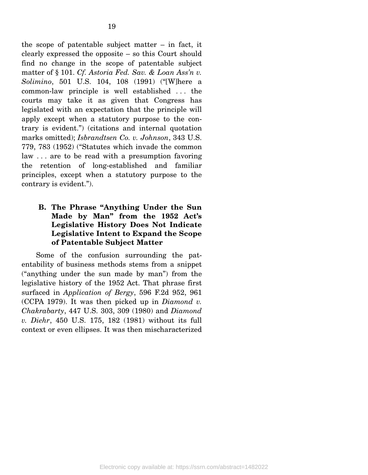the scope of patentable subject matter – in fact, it clearly expressed the opposite – so this Court should find no change in the scope of patentable subject matter of § 101. *Cf. Astoria Fed. Sav. & Loan Ass'n v. Solimino*, 501 U.S. 104, 108 (1991) ("[W]here a common-law principle is well established . . . the courts may take it as given that Congress has legislated with an expectation that the principle will apply except when a statutory purpose to the contrary is evident.") (citations and internal quotation marks omitted); *Isbrandtsen Co. v. Johnson*, 343 U.S. 779, 783 (1952) ("Statutes which invade the common law . . . are to be read with a presumption favoring the retention of long-established and familiar principles, except when a statutory purpose to the contrary is evident.").

#### **B. The Phrase "Anything Under the Sun Made by Man" from the 1952 Act's Legislative History Does Not Indicate Legislative Intent to Expand the Scope of Patentable Subject Matter**

 Some of the confusion surrounding the patentability of business methods stems from a snippet ("anything under the sun made by man") from the legislative history of the 1952 Act. That phrase first surfaced in *Application of Bergy*, 596 F.2d 952, 961 (CCPA 1979). It was then picked up in *Diamond v. Chakrabarty*, 447 U.S. 303, 309 (1980) and *Diamond v. Diehr*, 450 U.S. 175, 182 (1981) without its full context or even ellipses. It was then mischaracterized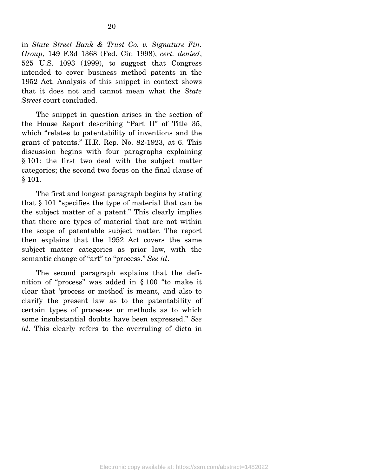in *State Street Bank & Trust Co. v. Signature Fin. Group*, 149 F.3d 1368 (Fed. Cir. 1998), *cert. denied*, 525 U.S. 1093 (1999), to suggest that Congress intended to cover business method patents in the 1952 Act. Analysis of this snippet in context shows that it does not and cannot mean what the *State Street* court concluded.

 The snippet in question arises in the section of the House Report describing "Part II" of Title 35, which "relates to patentability of inventions and the grant of patents." H.R. Rep. No. 82-1923, at 6. This discussion begins with four paragraphs explaining § 101: the first two deal with the subject matter categories; the second two focus on the final clause of § 101.

 The first and longest paragraph begins by stating that § 101 "specifies the type of material that can be the subject matter of a patent." This clearly implies that there are types of material that are not within the scope of patentable subject matter. The report then explains that the 1952 Act covers the same subject matter categories as prior law, with the semantic change of "art" to "process." *See id*.

 The second paragraph explains that the definition of "process" was added in § 100 "to make it clear that 'process or method' is meant, and also to clarify the present law as to the patentability of certain types of processes or methods as to which some insubstantial doubts have been expressed." *See id*. This clearly refers to the overruling of dicta in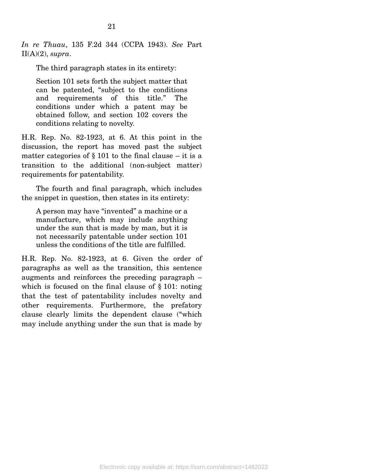*In re Thuau*, 135 F.2d 344 (CCPA 1943). *See* Part  $II(A)(2)$ , *supra*.

The third paragraph states in its entirety:

Section 101 sets forth the subject matter that can be patented, "subject to the conditions and requirements of this title." The conditions under which a patent may be obtained follow, and section 102 covers the conditions relating to novelty.

H.R. Rep. No. 82-1923, at 6. At this point in the discussion, the report has moved past the subject matter categories of  $\S 101$  to the final clause – it is a transition to the additional (non-subject matter) requirements for patentability.

 The fourth and final paragraph, which includes the snippet in question, then states in its entirety:

A person may have "invented" a machine or a manufacture, which may include anything under the sun that is made by man, but it is not necessarily patentable under section 101 unless the conditions of the title are fulfilled.

H.R. Rep. No. 82-1923, at 6. Given the order of paragraphs as well as the transition, this sentence augments and reinforces the preceding paragraph – which is focused on the final clause of § 101: noting that the test of patentability includes novelty and other requirements. Furthermore, the prefatory clause clearly limits the dependent clause ("which may include anything under the sun that is made by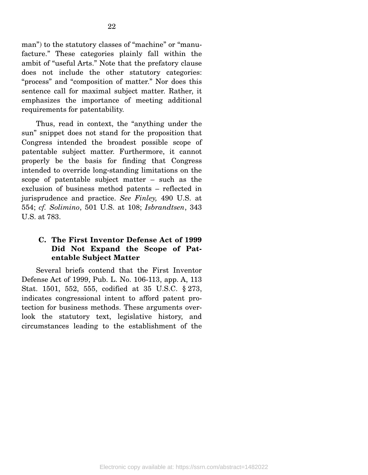man") to the statutory classes of "machine" or "manufacture." These categories plainly fall within the ambit of "useful Arts." Note that the prefatory clause does not include the other statutory categories: "process" and "composition of matter." Nor does this sentence call for maximal subject matter. Rather, it emphasizes the importance of meeting additional requirements for patentability.

 Thus, read in context, the "anything under the sun" snippet does not stand for the proposition that Congress intended the broadest possible scope of patentable subject matter. Furthermore, it cannot properly be the basis for finding that Congress intended to override long-standing limitations on the scope of patentable subject matter – such as the exclusion of business method patents – reflected in jurisprudence and practice. *See Finley,* 490 U.S. at 554; *cf. Solimino*, 501 U.S. at 108; *Isbrandtsen*, 343 U.S. at 783.

#### **C. The First Inventor Defense Act of 1999 Did Not Expand the Scope of Patentable Subject Matter**

 Several briefs contend that the First Inventor Defense Act of 1999, Pub. L. No. 106-113, app. A, 113 Stat. 1501, 552, 555, codified at 35 U.S.C. § 273, indicates congressional intent to afford patent protection for business methods. These arguments overlook the statutory text, legislative history, and circumstances leading to the establishment of the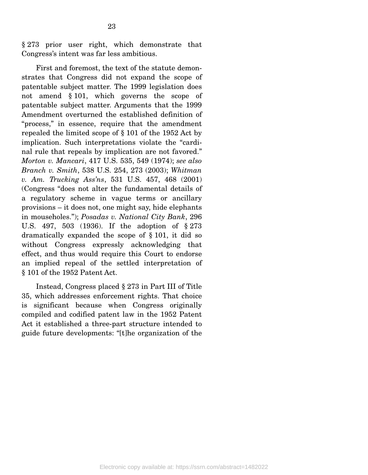§ 273 prior user right, which demonstrate that Congress's intent was far less ambitious.

 First and foremost, the text of the statute demonstrates that Congress did not expand the scope of patentable subject matter. The 1999 legislation does not amend § 101, which governs the scope of patentable subject matter. Arguments that the 1999 Amendment overturned the established definition of "process," in essence, require that the amendment repealed the limited scope of § 101 of the 1952 Act by implication. Such interpretations violate the "cardinal rule that repeals by implication are not favored." *Morton v. Mancari*, 417 U.S. 535, 549 (1974); *see also Branch v. Smith*, 538 U.S. 254, 273 (2003); *Whitman v. Am. Trucking Ass'ns*, 531 U.S. 457, 468 (2001) (Congress "does not alter the fundamental details of a regulatory scheme in vague terms or ancillary provisions – it does not, one might say, hide elephants in mouseholes."); *Posadas v. National City Bank*, 296 U.S. 497, 503 (1936). If the adoption of § 273 dramatically expanded the scope of § 101, it did so without Congress expressly acknowledging that effect, and thus would require this Court to endorse an implied repeal of the settled interpretation of § 101 of the 1952 Patent Act.

 Instead, Congress placed § 273 in Part III of Title 35, which addresses enforcement rights. That choice is significant because when Congress originally compiled and codified patent law in the 1952 Patent Act it established a three-part structure intended to guide future developments: "[t]he organization of the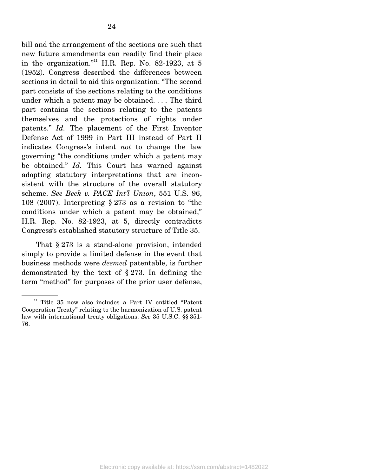bill and the arrangement of the sections are such that new future amendments can readily find their place in the organization."<sup>11</sup> H.R. Rep. No. 82-1923, at 5 (1952). Congress described the differences between sections in detail to aid this organization: "The second part consists of the sections relating to the conditions under which a patent may be obtained. . . . The third part contains the sections relating to the patents themselves and the protections of rights under patents." *Id.* The placement of the First Inventor Defense Act of 1999 in Part III instead of Part II indicates Congress's intent *not* to change the law governing "the conditions under which a patent may be obtained." *Id.* This Court has warned against adopting statutory interpretations that are inconsistent with the structure of the overall statutory scheme. *See Beck v. PACE Int'l Union*, 551 U.S. 96, 108 (2007). Interpreting § 273 as a revision to "the conditions under which a patent may be obtained," H.R. Rep. No. 82-1923, at 5, directly contradicts Congress's established statutory structure of Title 35.

 That § 273 is a stand-alone provision, intended simply to provide a limited defense in the event that business methods were *deemed* patentable, is further demonstrated by the text of § 273. In defining the term "method" for purposes of the prior user defense,

<sup>&</sup>lt;sup>11</sup> Title 35 now also includes a Part IV entitled "Patent Cooperation Treaty" relating to the harmonization of U.S. patent law with international treaty obligations. *See* 35 U.S.C. §§ 351- 76.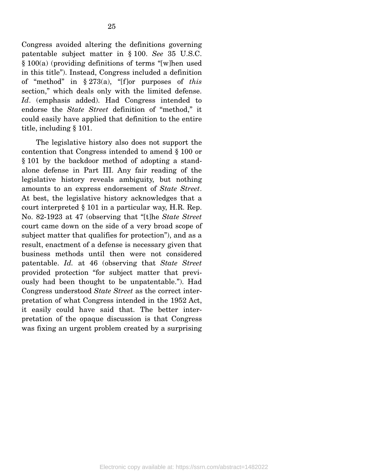Congress avoided altering the definitions governing patentable subject matter in § 100. *See* 35 U.S.C. § 100(a) (providing definitions of terms "[w]hen used in this title"). Instead, Congress included a definition of "method" in § 273(a), "[f]or purposes of *this* section," which deals only with the limited defense. *Id*. (emphasis added). Had Congress intended to endorse the *State Street* definition of "method," it could easily have applied that definition to the entire title, including § 101.

 The legislative history also does not support the contention that Congress intended to amend § 100 or § 101 by the backdoor method of adopting a standalone defense in Part III. Any fair reading of the legislative history reveals ambiguity, but nothing amounts to an express endorsement of *State Street*. At best, the legislative history acknowledges that a court interpreted § 101 in a particular way, H.R. Rep. No. 82-1923 at 47 (observing that "[t]he *State Street*  court came down on the side of a very broad scope of subject matter that qualifies for protection"), and as a result, enactment of a defense is necessary given that business methods until then were not considered patentable. *Id.* at 46 (observing that *State Street* provided protection "for subject matter that previously had been thought to be unpatentable."). Had Congress understood *State Street* as the correct interpretation of what Congress intended in the 1952 Act, it easily could have said that. The better interpretation of the opaque discussion is that Congress was fixing an urgent problem created by a surprising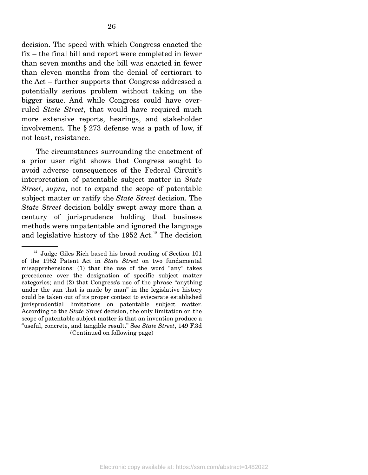decision. The speed with which Congress enacted the fix – the final bill and report were completed in fewer than seven months and the bill was enacted in fewer than eleven months from the denial of certiorari to the Act – further supports that Congress addressed a potentially serious problem without taking on the bigger issue. And while Congress could have overruled *State Street*, that would have required much more extensive reports, hearings, and stakeholder involvement. The § 273 defense was a path of low, if not least, resistance.

 The circumstances surrounding the enactment of a prior user right shows that Congress sought to avoid adverse consequences of the Federal Circuit's interpretation of patentable subject matter in *State Street*, *supra*, not to expand the scope of patentable subject matter or ratify the *State Street* decision. The *State Street* decision boldly swept away more than a century of jurisprudence holding that business methods were unpatentable and ignored the language and legislative history of the 1952 Act.<sup>12</sup> The decision

<sup>&</sup>lt;sup>12</sup> Judge Giles Rich based his broad reading of Section 101 of the 1952 Patent Act in *State Street* on two fundamental misapprehensions: (1) that the use of the word "any" takes precedence over the designation of specific subject matter categories; and (2) that Congress's use of the phrase "anything under the sun that is made by man" in the legislative history could be taken out of its proper context to eviscerate established jurisprudential limitations on patentable subject matter. According to the *State Street* decision, the only limitation on the scope of patentable subject matter is that an invention produce a "useful, concrete, and tangible result." See *State Street*, 149 F.3d (Continued on following page)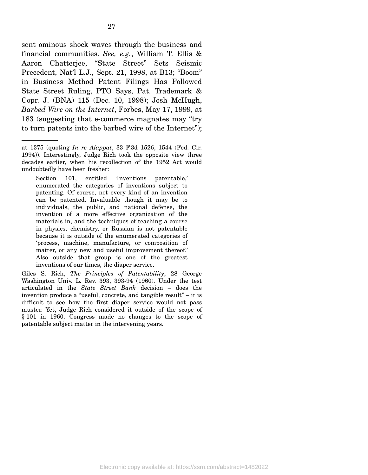27

sent ominous shock waves through the business and financial communities. *See, e.g.*, William T. Ellis & Aaron Chatterjee, "State Street" Sets Seismic Precedent, Nat'l L.J., Sept. 21, 1998, at B13; "Boom" in Business Method Patent Filings Has Followed State Street Ruling, PTO Says, Pat. Trademark & Copr. J. (BNA) 115 (Dec. 10, 1998); Josh McHugh, *Barbed Wire on the Internet*, Forbes, May 17, 1999, at 183 (suggesting that e-commerce magnates may "try to turn patents into the barbed wire of the Internet");

Section 101, entitled 'Inventions patentable,' enumerated the categories of inventions subject to patenting. Of course, not every kind of an invention can be patented. Invaluable though it may be to individuals, the public, and national defense, the invention of a more effective organization of the materials in, and the techniques of teaching a course in physics, chemistry, or Russian is not patentable because it is outside of the enumerated categories of 'process, machine, manufacture, or composition of matter, or any new and useful improvement thereof.' Also outside that group is one of the greatest inventions of our times, the diaper service.

Giles S. Rich, *The Principles of Patentability*, 28 George Washington Univ. L. Rev. 393, 393-94 (1960). Under the test articulated in the *State Street Bank* decision – does the invention produce a "useful, concrete, and tangible result" – it is difficult to see how the first diaper service would not pass muster. Yet, Judge Rich considered it outside of the scope of § 101 in 1960. Congress made no changes to the scope of patentable subject matter in the intervening years.

at 1375 (quoting *In re Alappat*, 33 F.3d 1526, 1544 (Fed. Cir. 1994)). Interestingly, Judge Rich took the opposite view three decades earlier, when his recollection of the 1952 Act would undoubtedly have been fresher: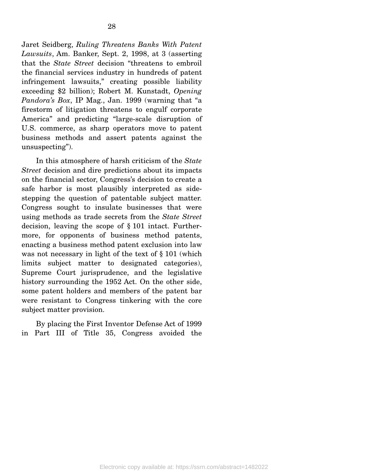Jaret Seidberg, *Ruling Threatens Banks With Patent Lawsuits*, Am. Banker, Sept. 2, 1998, at 3 (asserting that the *State Street* decision "threatens to embroil the financial services industry in hundreds of patent infringement lawsuits," creating possible liability exceeding \$2 billion); Robert M. Kunstadt, *Opening Pandora's Box*, IP Mag., Jan. 1999 (warning that "a firestorm of litigation threatens to engulf corporate America" and predicting "large-scale disruption of U.S. commerce, as sharp operators move to patent business methods and assert patents against the unsuspecting").

 In this atmosphere of harsh criticism of the *State Street* decision and dire predictions about its impacts on the financial sector, Congress's decision to create a safe harbor is most plausibly interpreted as sidestepping the question of patentable subject matter. Congress sought to insulate businesses that were using methods as trade secrets from the *State Street* decision, leaving the scope of § 101 intact. Furthermore, for opponents of business method patents, enacting a business method patent exclusion into law was not necessary in light of the text of § 101 (which limits subject matter to designated categories), Supreme Court jurisprudence, and the legislative history surrounding the 1952 Act. On the other side, some patent holders and members of the patent bar were resistant to Congress tinkering with the core subject matter provision.

 By placing the First Inventor Defense Act of 1999 in Part III of Title 35, Congress avoided the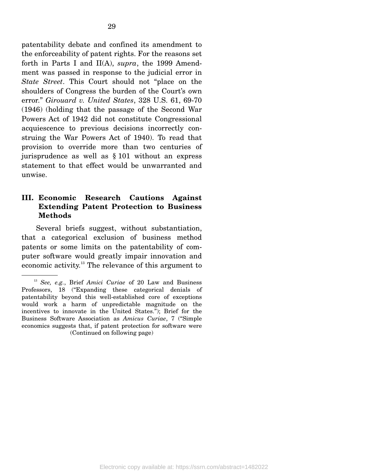patentability debate and confined its amendment to the enforceability of patent rights. For the reasons set forth in Parts I and II(A), *supra*, the 1999 Amendment was passed in response to the judicial error in *State Street*. This Court should not "place on the shoulders of Congress the burden of the Court's own error." *Girouard v. United States*, 328 U.S. 61, 69-70 (1946) (holding that the passage of the Second War Powers Act of 1942 did not constitute Congressional acquiescence to previous decisions incorrectly construing the War Powers Act of 1940). To read that provision to override more than two centuries of jurisprudence as well as § 101 without an express statement to that effect would be unwarranted and unwise.

#### **III. Economic Research Cautions Against Extending Patent Protection to Business Methods**

 Several briefs suggest, without substantiation, that a categorical exclusion of business method patents or some limits on the patentability of computer software would greatly impair innovation and economic activity.13 The relevance of this argument to

<sup>13</sup> *See, e.g.*, Brief *Amici Curiae* of 20 Law and Business Professors, 18 ("Expanding these categorical denials of patentability beyond this well-established core of exceptions would work a harm of unpredictable magnitude on the incentives to innovate in the United States."); Brief for the Business Software Association as *Amicus Curiae*, 7 ("Simple economics suggests that, if patent protection for software were (Continued on following page)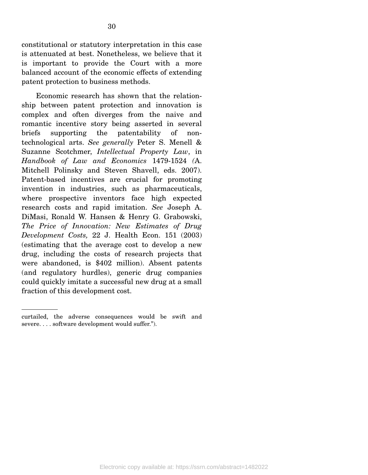constitutional or statutory interpretation in this case is attenuated at best. Nonetheless, we believe that it is important to provide the Court with a more balanced account of the economic effects of extending patent protection to business methods.

 Economic research has shown that the relationship between patent protection and innovation is complex and often diverges from the naive and romantic incentive story being asserted in several briefs supporting the patentability of nontechnological arts. *See generally* Peter S. Menell & Suzanne Scotchmer, *Intellectual Property Law*, in *Handbook of Law and Economics* 1479-1524 *(*A. Mitchell Polinsky and Steven Shavell, eds. 2007). Patent-based incentives are crucial for promoting invention in industries, such as pharmaceuticals, where prospective inventors face high expected research costs and rapid imitation. *See* Joseph A. DiMasi, Ronald W. Hansen & Henry G. Grabowski, *The Price of Innovation: New Estimates of Drug Development Costs,* 22 J. Health Econ. 151 (2003) (estimating that the average cost to develop a new drug, including the costs of research projects that were abandoned, is \$402 million). Absent patents (and regulatory hurdles), generic drug companies could quickly imitate a successful new drug at a small fraction of this development cost.

curtailed, the adverse consequences would be swift and severe. . . . software development would suffer.").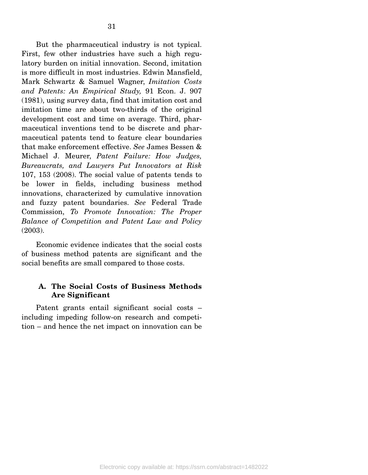But the pharmaceutical industry is not typical. First, few other industries have such a high regulatory burden on initial innovation. Second, imitation is more difficult in most industries. Edwin Mansfield, Mark Schwartz & Samuel Wagner, *Imitation Costs and Patents: An Empirical Study,* 91 Econ. J. 907 (1981), using survey data, find that imitation cost and imitation time are about two-thirds of the original development cost and time on average. Third, pharmaceutical inventions tend to be discrete and pharmaceutical patents tend to feature clear boundaries that make enforcement effective. *See* James Bessen & Michael J. Meurer, *Patent Failure: How Judges, Bureaucrats, and Lawyers Put Innovators at Risk* 107, 153 (2008). The social value of patents tends to be lower in fields, including business method innovations, characterized by cumulative innovation and fuzzy patent boundaries. *See* Federal Trade Commission, *To Promote Innovation: The Proper Balance of Competition and Patent Law and Policy*  (2003).

 Economic evidence indicates that the social costs of business method patents are significant and the social benefits are small compared to those costs.

#### **A. The Social Costs of Business Methods Are Significant**

 Patent grants entail significant social costs – including impeding follow-on research and competition – and hence the net impact on innovation can be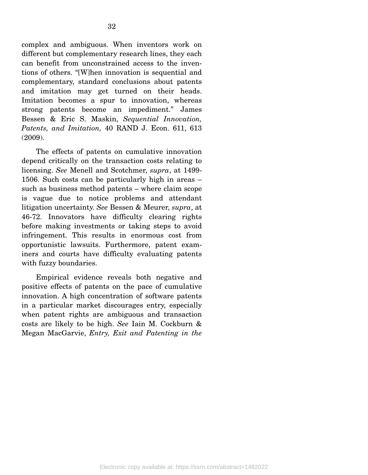complex and ambiguous. When inventors work on different but complementary research lines, they each can benefit from unconstrained access to the inventions of others. "[W]hen innovation is sequential and complementary, standard conclusions about patents and imitation may get turned on their heads. Imitation becomes a spur to innovation, whereas strong patents become an impediment." James Bessen & Eric S. Maskin, *Sequential Innovation, Patents, and Imitation,* 40 RAND J. Econ. 611, 613 (2009).

 The effects of patents on cumulative innovation depend critically on the transaction costs relating to licensing. *See* Menell and Scotchmer, *supra*, at 1499- 1506. Such costs can be particularly high in areas – such as business method patents – where claim scope is vague due to notice problems and attendant litigation uncertainty. *See* Bessen & Meurer, *supra*, at 46-72. Innovators have difficulty clearing rights before making investments or taking steps to avoid infringement. This results in enormous cost from opportunistic lawsuits. Furthermore, patent examiners and courts have difficulty evaluating patents with fuzzy boundaries.

 Empirical evidence reveals both negative and positive effects of patents on the pace of cumulative innovation. A high concentration of software patents in a particular market discourages entry, especially when patent rights are ambiguous and transaction costs are likely to be high. *See* Iain M. Cockburn & Megan MacGarvie, *Entry, Exit and Patenting in the*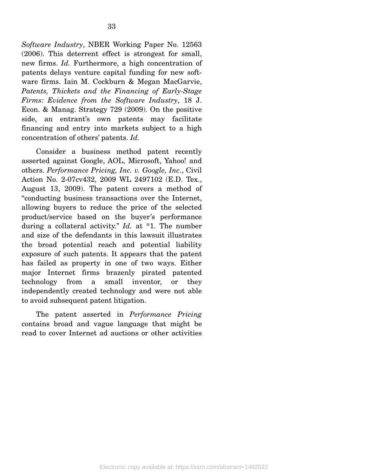*Software Industry*, NBER Working Paper No. 12563 (2006). This deterrent effect is strongest for small, new firms. *Id.* Furthermore, a high concentration of patents delays venture capital funding for new software firms. Iain M. Cockburn & Megan MacGarvie, *Patents, Thickets and the Financing of Early-Stage Firms: Evidence from the Software Industry*, 18 J. Econ. & Manag. Strategy 729 (2009). On the positive side, an entrant's own patents may facilitate financing and entry into markets subject to a high concentration of others' patents. *Id.* 

Consider a business method patent recently asserted against Google, AOL, Microsoft, Yahoo! and others. *Performance Pricing, Inc. v. Google, Inc*., Civil Action No. 2-07cv432, 2009 WL 2497102 (E.D. Tex., August 13, 2009). The patent covers a method of "conducting business transactions over the Internet, allowing buyers to reduce the price of the selected product/service based on the buyer's performance during a collateral activity." *Id.* at \*1. The number and size of the defendants in this lawsuit illustrates the broad potential reach and potential liability exposure of such patents. It appears that the patent has failed as property in one of two ways. Either major Internet firms brazenly pirated patented technology from a small inventor, or they independently created technology and were not able to avoid subsequent patent litigation.

 The patent asserted in *Performance Pricing* contains broad and vague language that might be read to cover Internet ad auctions or other activities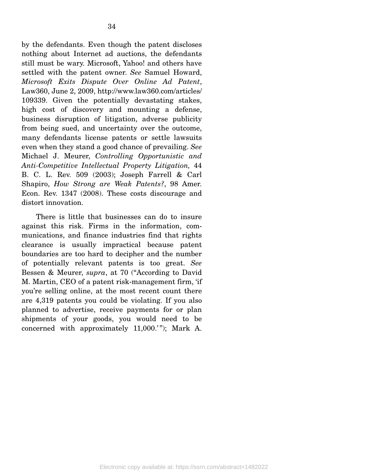by the defendants. Even though the patent discloses nothing about Internet ad auctions, the defendants still must be wary. Microsoft, Yahoo! and others have settled with the patent owner. *See* Samuel Howard, *Microsoft Exits Dispute Over Online Ad Patent*, Law360, June 2, 2009, http://www.law360.com/articles/ 109339. Given the potentially devastating stakes, high cost of discovery and mounting a defense, business disruption of litigation, adverse publicity from being sued, and uncertainty over the outcome, many defendants license patents or settle lawsuits even when they stand a good chance of prevailing. *See*  Michael J. Meurer, *Controlling Opportunistic and Anti-Competitive Intellectual Property Litigation,* 44 B. C. L. Rev. 509 (2003); Joseph Farrell & Carl Shapiro, *How Strong are Weak Patents?*, 98 Amer. Econ. Rev. 1347 (2008). These costs discourage and distort innovation.

 There is little that businesses can do to insure against this risk. Firms in the information, communications, and finance industries find that rights clearance is usually impractical because patent boundaries are too hard to decipher and the number of potentially relevant patents is too great. *See*  Bessen & Meurer, *supra*, at 70 ("According to David M. Martin, CEO of a patent risk-management firm, 'if you're selling online, at the most recent count there are 4,319 patents you could be violating. If you also planned to advertise, receive payments for or plan shipments of your goods, you would need to be concerned with approximately  $11,000."$ ); Mark A.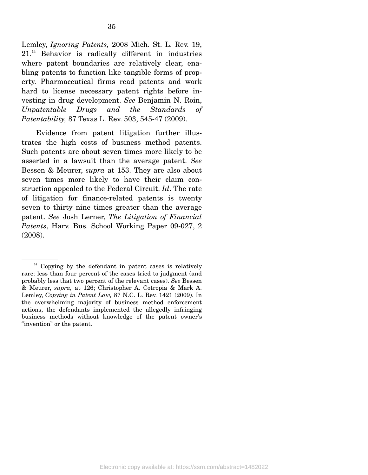Lemley, *Ignoring Patents,* 2008 Mich. St. L. Rev. 19, 21.14 Behavior is radically different in industries where patent boundaries are relatively clear, enabling patents to function like tangible forms of property. Pharmaceutical firms read patents and work hard to license necessary patent rights before investing in drug development. *See* Benjamin N. Roin, *Unpatentable Drugs and the Standards of Patentability,* 87 Texas L. Rev. 503, 545-47 (2009).

 Evidence from patent litigation further illustrates the high costs of business method patents. Such patents are about seven times more likely to be asserted in a lawsuit than the average patent. *See* Bessen & Meurer, *supra* at 153. They are also about seven times more likely to have their claim construction appealed to the Federal Circuit. *Id*. The rate of litigation for finance-related patents is twenty seven to thirty nine times greater than the average patent. *See* Josh Lerner, *The Litigation of Financial Patents*, Harv. Bus. School Working Paper 09-027, 2 (2008).

 $14$  Copying by the defendant in patent cases is relatively rare: less than four percent of the cases tried to judgment (and probably less that two percent of the relevant cases). *See* Bessen & Meurer, *supra,* at 126; Christopher A. Cotropia & Mark A. Lemley, *Copying in Patent Law,* 87 N.C. L. Rev. 1421 (2009). In the overwhelming majority of business method enforcement actions, the defendants implemented the allegedly infringing business methods without knowledge of the patent owner's "invention" or the patent.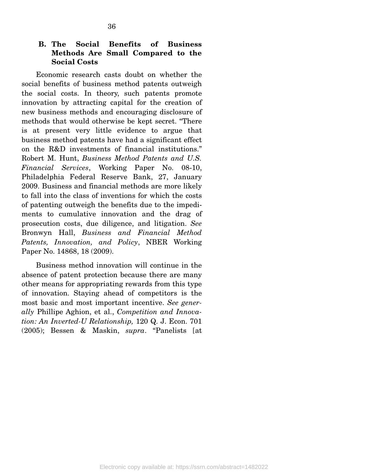#### **B. The Social Benefits of Business Methods Are Small Compared to the Social Costs**

 Economic research casts doubt on whether the social benefits of business method patents outweigh the social costs. In theory, such patents promote innovation by attracting capital for the creation of new business methods and encouraging disclosure of methods that would otherwise be kept secret. "There is at present very little evidence to argue that business method patents have had a significant effect on the R&D investments of financial institutions." Robert M. Hunt, *Business Method Patents and U.S. Financial Services*, Working Paper No. 08-10, Philadelphia Federal Reserve Bank, 27, January 2009. Business and financial methods are more likely to fall into the class of inventions for which the costs of patenting outweigh the benefits due to the impediments to cumulative innovation and the drag of prosecution costs, due diligence, and litigation. *See*  Bronwyn Hall, *Business and Financial Method Patents, Innovation, and Policy*, NBER Working Paper No. 14868, 18 (2009).

 Business method innovation will continue in the absence of patent protection because there are many other means for appropriating rewards from this type of innovation. Staying ahead of competitors is the most basic and most important incentive. *See generally* Phillipe Aghion, et al., *Competition and Innovation: An Inverted-U Relationship,* 120 Q. J. Econ. 701 (2005); Bessen & Maskin, *supra*. "Panelists [at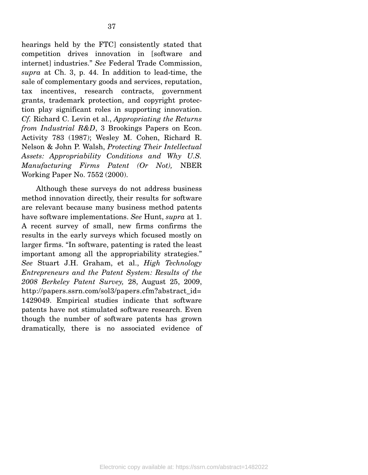hearings held by the FTC] consistently stated that competition drives innovation in [software and internet] industries." *See* Federal Trade Commission, *supra* at Ch. 3, p. 44. In addition to lead-time, the sale of complementary goods and services, reputation, tax incentives, research contracts, government grants, trademark protection, and copyright protection play significant roles in supporting innovation. *Cf.* Richard C. Levin et al., *Appropriating the Returns from Industrial R&D*, 3 Brookings Papers on Econ. Activity 783 (1987); Wesley M. Cohen, Richard R. Nelson & John P. Walsh, *Protecting Their Intellectual Assets: Appropriability Conditions and Why U.S. Manufacturing Firms Patent (Or Not),* NBER Working Paper No. 7552 (2000).

 Although these surveys do not address business method innovation directly, their results for software are relevant because many business method patents have software implementations. *See* Hunt, *supra* at 1. A recent survey of small, new firms confirms the results in the early surveys which focused mostly on larger firms. "In software, patenting is rated the least important among all the appropriability strategies." *See* Stuart J.H. Graham, et al., *High Technology Entrepreneurs and the Patent System: Results of the 2008 Berkeley Patent Survey,* 28, August 25, 2009, http://papers.ssrn.com/sol3/papers.cfm?abstract\_id= 1429049. Empirical studies indicate that software patents have not stimulated software research. Even though the number of software patents has grown dramatically, there is no associated evidence of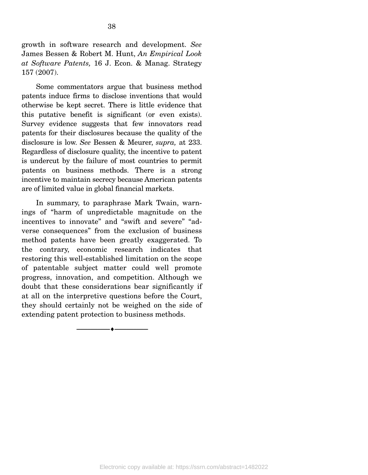growth in software research and development. *See* James Bessen & Robert M. Hunt, *An Empirical Look at Software Patents,* 16 J. Econ. & Manag. Strategy 157 (2007).

 Some commentators argue that business method patents induce firms to disclose inventions that would otherwise be kept secret. There is little evidence that this putative benefit is significant (or even exists). Survey evidence suggests that few innovators read patents for their disclosures because the quality of the disclosure is low. *See* Bessen & Meurer, *supra,* at 233. Regardless of disclosure quality, the incentive to patent is undercut by the failure of most countries to permit patents on business methods. There is a strong incentive to maintain secrecy because American patents are of limited value in global financial markets.

 In summary, to paraphrase Mark Twain, warnings of "harm of unpredictable magnitude on the incentives to innovate" and "swift and severe" "adverse consequences" from the exclusion of business method patents have been greatly exaggerated. To the contrary, economic research indicates that restoring this well-established limitation on the scope of patentable subject matter could well promote progress, innovation, and competition. Although we doubt that these considerations bear significantly if at all on the interpretive questions before the Court, they should certainly not be weighed on the side of extending patent protection to business methods.

--------------------------------- ♦ ---------------------------------